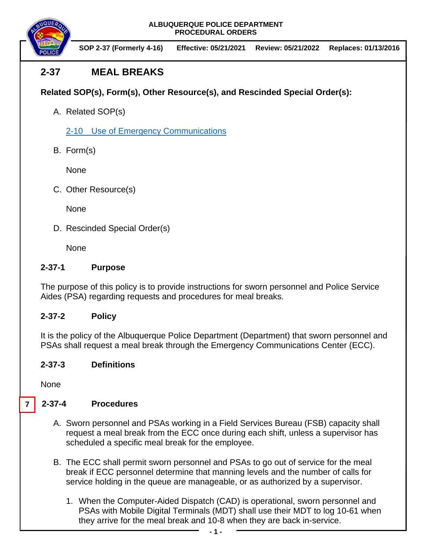**SOP 2-37 (Formerly 4-16) Effective: 05/21/2021 Review: 05/21/2022 Replaces: 01/13/2016**

# **2-37 MEAL BREAKS**

# **Related SOP(s), Form(s), Other Resource(s), and Rescinded Special Order(s):**

A. Related SOP(s)

2-10 [Use of Emergency Communications](https://powerdms.com/docs/25) 

B. Form(s)

None

C. Other Resource(s)

**None** 

D. Rescinded Special Order(s)

None

## **2-37-1 Purpose**

The purpose of this policy is to provide instructions for sworn personnel and Police Service Aides (PSA) regarding requests and procedures for meal breaks.

## **2-37-2 Policy**

It is the policy of the Albuquerque Police Department (Department) that sworn personnel and PSAs shall request a meal break through the Emergency Communications Center (ECC).

# **2-37-3 Definitions**

None

#### **2-37-4 Procedures 7**

- A. Sworn personnel and PSAs working in a Field Services Bureau (FSB) capacity shall request a meal break from the ECC once during each shift, unless a supervisor has scheduled a specific meal break for the employee.
- B. The ECC shall permit sworn personnel and PSAs to go out of service for the meal break if ECC personnel determine that manning levels and the number of calls for service holding in the queue are manageable, or as authorized by a supervisor.
	- 1. When the Computer-Aided Dispatch (CAD) is operational, sworn personnel and PSAs with Mobile Digital Terminals (MDT) shall use their MDT to log 10-61 when they arrive for the meal break and 10-8 when they are back in-service.